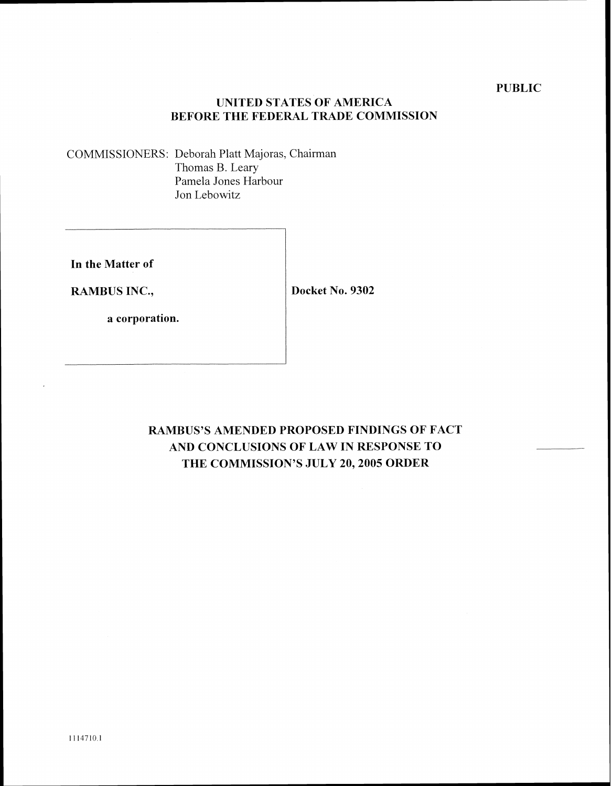# **UNITED STATES OF AMERICA BEFORE THE FEDERAL TRADE COMMISSION**

COMMISSIONERS: Deborah Platt Majoras. Chairman Thomas B. Leary Pamela Jones Harbour Jon Lebowitz

**In the Matter of** 

**RAMBUS INC.,** 

**Docket No. 9302** 

**a corporation.** 

**RAMBUS'S AMENDED PROPOSED FINDINGS OF FACT AND CONCLUSIONS OF LAW IN RESPONSE TO THE COMMISSION'S JULY 20,2005 ORDER**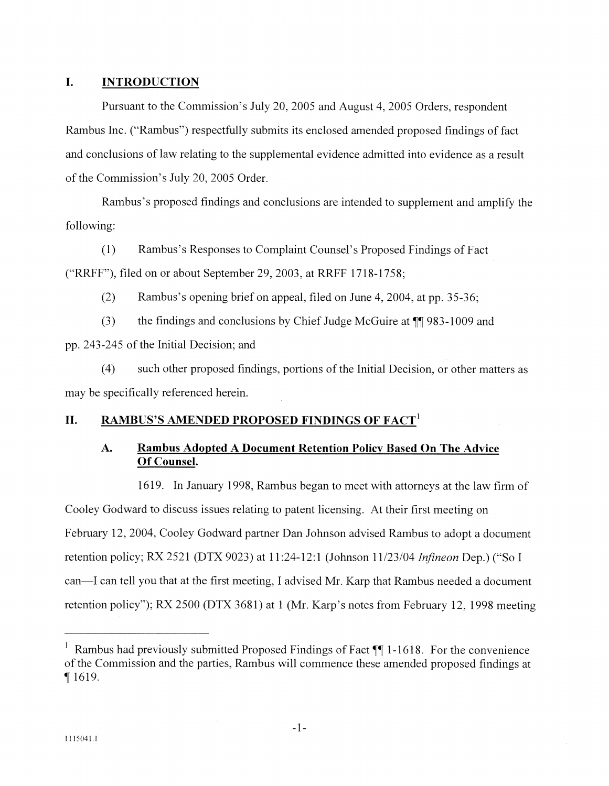### **I. INTRODUCTION**

Pursuant to the Commission's July 20, 2005 and August 4.2005 Orders, respondent Rambus Inc. ("Rambus") respectfully submits its enclosed amended proposed findings of fact and conclusions of law relating to the supplemental evidence admitted into evidence as a result of the Commission's July 20, 2005 Order.

Rambus's proposed findings and conclusions are intended to supplement and amplify the following:

(1) Rambus's Responses to Complaint Counsel's Proposed Findings of Fact ("RRFF"), filed on or about September 29, 2003, at RRFF 1718-1758;

(2) Rambus's opening brief on appeal, filed on June 4, 2004, at pp. 35-36;

(3) the findings and conclusions by Chief Judge hlcGuire at **17** 983-1009 and pp. 243-245 of the Initial Decision; and

(4) such other proposed findings, portions of the Initial Decision, or other matters as may be specifically referenced herein.

### **11. RAMBUS'S AMENDED PROPOSED FINDINGS OF FACT'**

# **A. Rambus Adopted A Document Retention Policy Based On The Advice Of Counsel.**

1619. In January 1998, Rambus began to meet with attorneys at the law firm of Cooley Godward to discuss issues relating to patent licensing. At their first meeting on February 12, 2004, Cooley Godward partner Dan Johnson advised Rambus to adopt a document retention policy; RX 2521 (DTX 9023) at 11:24-12:1 (Johnson 11/23/04 *Infineon* Dep.) ("So I can—I can tell you that at the first meeting. I advised Mr. Karp that Rambus needed a document retention policy"); RX 2500 (DTX 3681) at 1 (Mr. Karp's notes from February 12, 1998 meeting

Rambus had previously submitted Proposed Findings of Fact **1***T* 1-1618. For the convenience of the Commission and the parties. Rambus will commence these amended proposed findings at **7** 1619.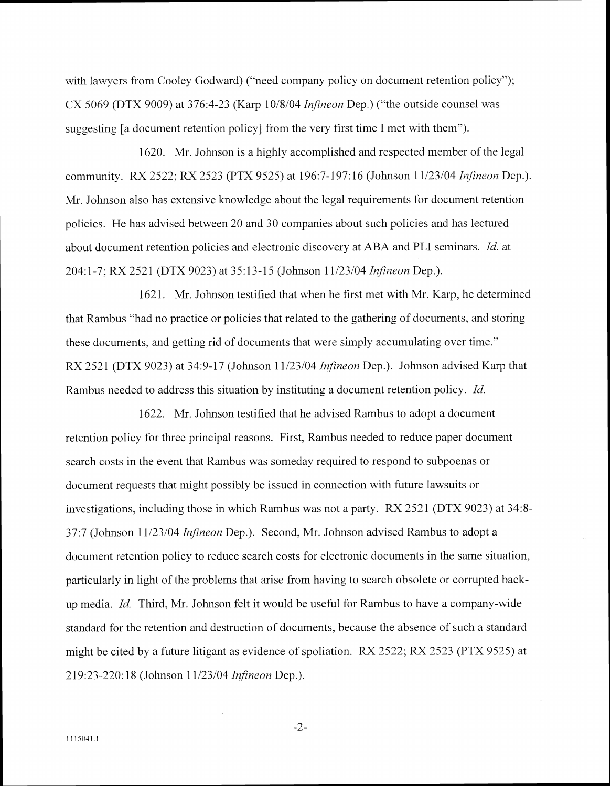with lawyers from Cooley Godward) ("need company policy on document retention policy"); CX 5069 (DTX 9009) at 376:4-23 (Karp 10/8/04 *Infineon* Dep.) ("the outside counsel was suggesting [a document retention policy] from the very first time I met with them").

1620. Mr. Johnson is a highly accomplished and respected member of the legal community. RX 2522; RX 2523 (PTX 9525) at 196:7-197: 16 (Johnson 1 1/23/04 *Infineon* Dep.). Mr. Johnson also has extensive knowledge about the legal requirements for document retention policies. He has advised between 20 and 30 companies about such policies and has lectured about document retention policies and electronic discovery at ABA and PLI seminars. *Id.* at 204: 1-7; RX 2521 (DTX 9023) at 35: 13-1 5 (Johnson 11/23/04 *Infineon* Dep.).

1621. Mr. Johnson testified that when he first met with Mr. Karp. he determined that Rambus "had no practice or policies that related to the gathering of documents, and storing these documents, and getting rid of documents that were simply accumulating over time." RX 2521 (DTX 9023) at 34:9-17 (Johnson 11/23/04 *Infineon* Dep.). Johnson advised Karp that Rambus needed to address this situation by instituting a document retention policy. *Id.* 

1622. Mr. Johnson testified that he advised Rambus to adopt a document retention policy for three principal reasons. First, Rambus needed to reduce paper document search costs in the event that Rambus was someday required to respond to subpoenas or document requests that might possibly be issued in connection with future lawsuits or investigations, including those in which Rambus was not a party.  $RX 2521 (DTX 9023)$  at  $34:8-$ 37:7 (Jollnson 11/23/04 *Infineon* Dep.). Second. Mr. Johnson advised Rambus to adopt a document retention policy to reduce search costs for electronic documents in the same situation, particularly in light of the problems that arise from having to search obsolete or corrupted backup media. *Id.* Third, Mr. Johnson felt it would be useful for Rambus to have a company-wide standard for the retention and destruction of documents, because the absence of such a standard might be cited by a future litigant as evidence of spoliation.  $RX$  2522;  $RX$  2523 (PTX 9525) at 219:23-220: 18 (Johnson 11/23/04 *Infineon* Dep.).

 $-2-$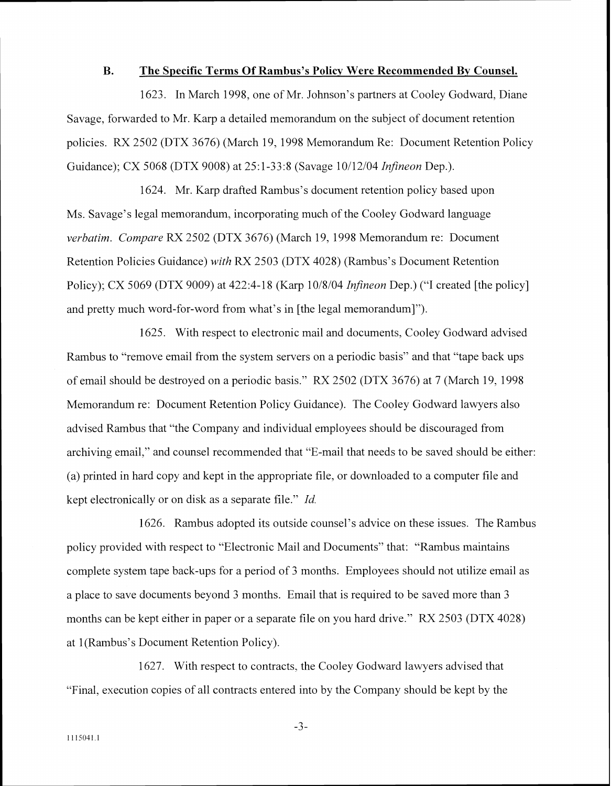#### **B. The Specific Terms Of Rambus's Policv Were Recommended By Counsel.**

1623. In March 1998. one of Mr. Johnson's partners at Cooley Goduard, Diane Savage, forwarded to Mr. Karp a detailed memorandum on the subject of document retention policies. RX 2502 (DTX 3676) (March 19, 1 998 Memorandum Re: Document Retention Policy Guidance); CX 5068 (DTX 9008) at 25: 1-33:8 (Savage 10/12/04 *Infineon* Dep.).

1624. Mr. Karp drafted Rambus's document retention policy based upon Ms. Savage's legal memorandum, incorporating much of the Cooley Godward language *verbatim. Compare RX 2502 (DTX 3676) (March 19, 1998 Memorandum re: Document* Retention Policies Guidance) *with RX 2503* (DTX 4028) (Rambus's Document Retention Policy); CX 5069 (DTX 9009) at 422:4-18 (Karp 10/8/04 *Infineon* Dep.) ("I created [the policy] and pretty much word-for-word from what's in [the legal memorandum]").

1625. With respect to electronic mail and documents, Cooley Godward advised Rambus to "remove email from the system servers on a periodic basis" and that "tape back ups of email should be destroyed on a periodic basis." RX 2502 (DTX 3676) at 7 (March 19, 1998 Memorandum re: Document Retention Policy Guidance). The Cooley Godward lawyers also advised Rambus that "the Company and individual employees should be discouraged from archiving email," and counsel recommended that "E-mail that needs to be saved should be either: (a) printed in hard copy and kept in the appropriate file, or downloaded to a computer file and kept electronically or on disk as a separate file." Id.

1626. Rambus adopted its outside counsel's advice on these issues. The Rambus policy provided with respect to "Electronic Mail and Documents" that: "Rambus maintains complete system tape back-ups for a period of 3 months. Employees should not utilize email as a place to save documents beyond 3 months. Email that is required to be saved more than 3 months can be kept either in paper or a separate file on you hard drive." RX 2503 (DTX 4028) at 1 (Rambus's Document Retention Policy).

1627. With respect to contracts, the Cooley Godward lawyers advised that "Final, execution copies of all contracts entered into by the Company should be kept by the

 $-3-$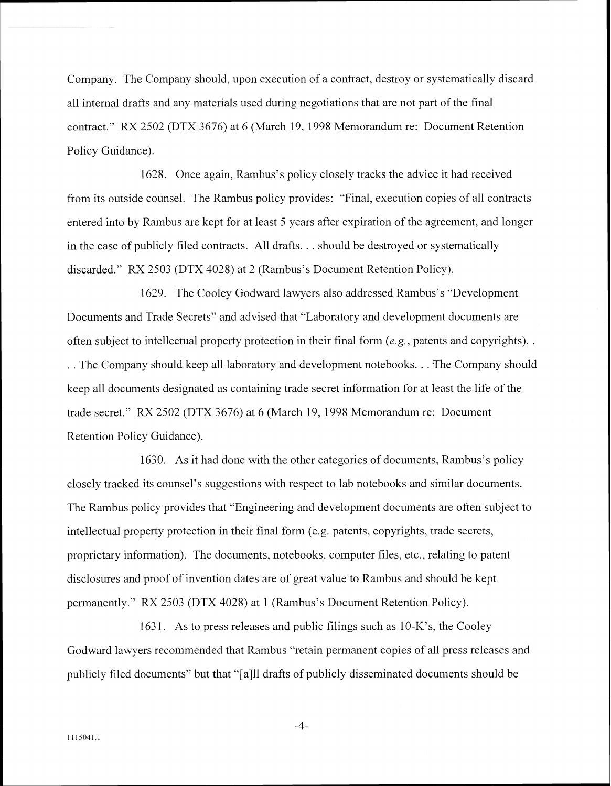Company. The Company should. upon execution of a contract. destroq or systematically discard all internal drafts and any materials used during negotiations that are not part of the final contract." RX 2502 (DTX 3676) at 6 (March 19. 1998 Memorandum re: Document Retention Policy Guidance).

1628. Once again, Rambus's policy closely tracks the advice it had received from its outside counsel. The Rambus policy provides: "Final, execution copies of all contracts entered into by Rambus are kept for at least 5 years after expiration of the agreement, and longer in the case of publicly filed contracts. All drafts. . . should be destroyed or systematically discarded." RX 2503 (DTX 4028) at 2 (Rambus's Document Retention Policy).

1629. The Cooley Godward lawyers also addressed Rambus's "Development" Documents and Trade Secrets" and advised that "Laboratory and development documents are often subject to intellectual property protection in their final form  $(e, g)$ , patents and copyrights). .. The Company should keep all laboratory and development notebooks... The Company should keep all documents designated as containing trade secret information for at least the life of the trade secret." RX 2502 (DTX 3676) at 6 (March 19. 1998 Memorandum re: Document Retention Policy Guidance).

1630. As it had done with the other categories of documents. Rambus's policy closely tracked its counsel's suggestions with respect to lab notebooks and similar documents. The Rambus policy provides that "Engineering and development documents are often subject to intellectual property protection in their final form (e.g. patents, copyrights, trade secrets, proprietary information). The documents, notebooks, computer files, etc.. relating to patent disclosures and proof of invention dates are of great value to Rambus and should be kept permanently." RX 2503 (DTX 4028) at 1 (Rambus's Document Retention Policy).

1631. As to press releases and public filings such as  $10-K$ 's, the Cooley Godward lawyers recommended that Rambus "retain permanent copies of all press releases and publicly filed documents" but that "[a]ll drafts of publicly disseminated documents should be

 $-4-$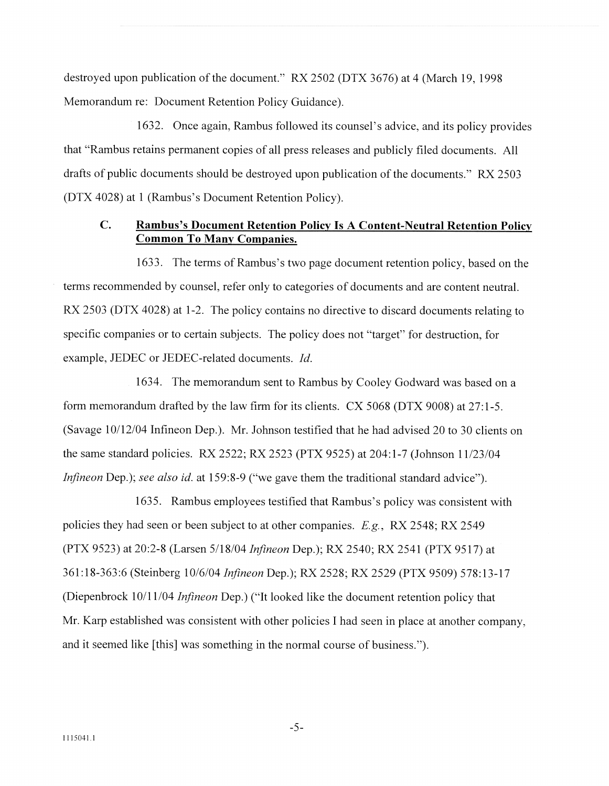destroyed upon publication of the document." RX 2502 (DTX 3676) at 4 (March 19, 1998 Memorandum re: Document Retention Policy Guidance).

1632. Once again, Rambus followed its counsel's advice, and its policy provides that "Rambus retains permanent copies of all press releases and publicly filed documents. All drafts of public documents should be destroyed upon publication of the documents." RX 2503 (DTX 4028) at 1 (Rambus's Document Retention Policy).

### **C. Rambus's Document Retention Policy Is A Content-Neutral Retention Policy Common To Many Companies.**

1633. The terms of Rambus's two page document retention policy, based on the terms recommended by counsel, refer only to categories of documents and are content neutral. RX 2503 (DTX 4028) at 1-2. The policy contains no directive to discard documents relating to specific companies or to certain subjects. The policy does not "target" for destruction, for example. JEDEC or JEDEC-related documents. *Id.* 

1634. The memorandum sent to Rambus by Cooley Godward was based on a form memorandum drafted by the law firm for its clients.  $CX 5068 (DTX 9008)$  at  $27:1-5$ . (Savage 10/12/04 Infineon Dep.). Mr. Johnson testified that he had advised 20 to 30 clients on the same standard policies. RX 2522; RX 2523 (PTX 9525) at 204:1-7 (Johnson 11/23/04 *Infineon Dep.*); *see also id.* at 159:8-9 ("we gave them the traditional standard advice").

1635. Rambus employees testified that Rambus's policy was consistent with policies they had seen or been subject to at other companies. *E.g* . RX 2548: RX 2549 (PTX 9523) at 20:2-8 (Larsen 5/18/04 *Infineon Dep.*); RX 2540; RX 2541 (PTX 9517) at 361 :18-363:6 (Steinberg 10/6/04 *Infif.reon* Dep.); RX 2528: RX 2529 (PTX 9509) 578:13-17 (Diepenbrock 10/11/04 *Infineon* Dep.) ("It looked like the document retention policy that Mr. Karp established was consistent with other policies I had seen in place at another company. and it seemed like [this] was something in the normal course of business.").

 $-5-$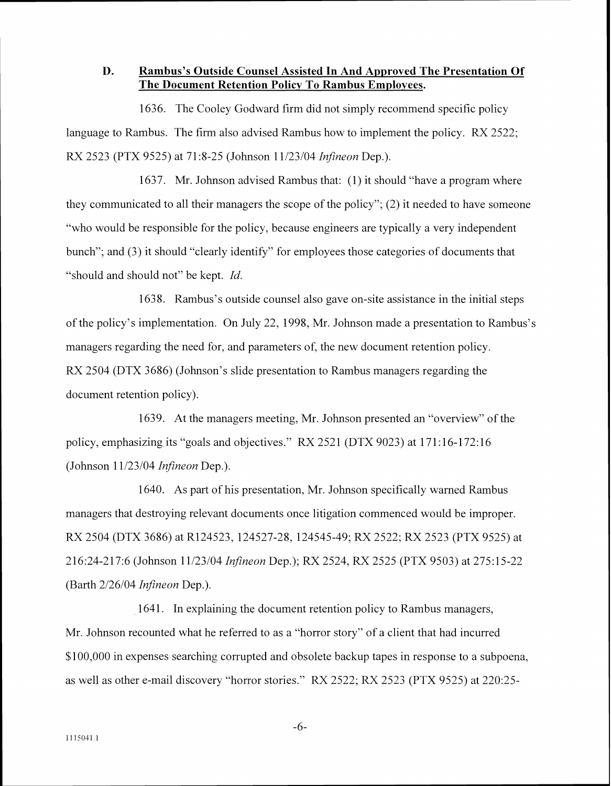### **D. Rambus's Outside Counsel Assisted In And Approved The Presentation Of The Document Retention Policy To Rambus Employees.**

1636. The Cooley Godward firm did not simply recommend specific policy language to Rambus. The firm also advised Rambus how to implement the policy. RX 2522; RX 2523 (PTX 9525) at 71:8-25 (Johnson 11/23/04 *Infineon* Dep.).

1637. Mr. Johnson advised Rambus that: (1) it should "have a program where they communicated to all their managers the scope of the policy"; (2) it needed to have someone "who would be responsible for the policy, because engineers are typically a very independent bunch"; and (3) it should "clearly identify" for employees those categories of documents that "should and should not" be kept. *161'.* 

1638. Rambus's outside counsel also gave on-site assistance in the initial steps of the policy's implementation. On July 22, 1998, Mr. Johnson made a presentation to Rambus's managers regarding the need for, and parameters of, the new document retention policy. RX 2504 (DTX 3686) (Johnson's slide presentation to Rambus managers regarding the document retention policy).

1639. At the managers meeting, Mr. Johnson presented an "overview" of the policy, emphasizing its "goals and objectives." RX 2521 (DTX 9023) at 171:16-172:16 (Johnson 1 1/23/04 *Infineon* Dep.).

1640. As part of his presentation, Mr. Johnson specifically warned Rambus managers that destroying relevant documents once litigation commenced would be improper. RX 2504 (DTX 3686) at R124523. 124527-28, 124545-49; RX 2522: RX 2523 (PTX 9525) at 21 6:24-217:6 (Johnson 1 1/23/04 *Infineon* Dep.): RX 2524, RX 2525 (PTX 9503) at 275: **2** 5-22 (Barth  $2/26/04$  *Infineon* Dep.).

1641. In explaining the document retention policy to Rambus managers, Mr. Johnson recounted what he referred to as a "horror story" of a client that had incurred \$100,000 in expenses searching corrupted and obsolete backup tapes in response to a subpoena, as well as other e-mail discovery "horror stories." RX 2522; RX 2523 (PTX 9525) at 220:25-

 $-6-$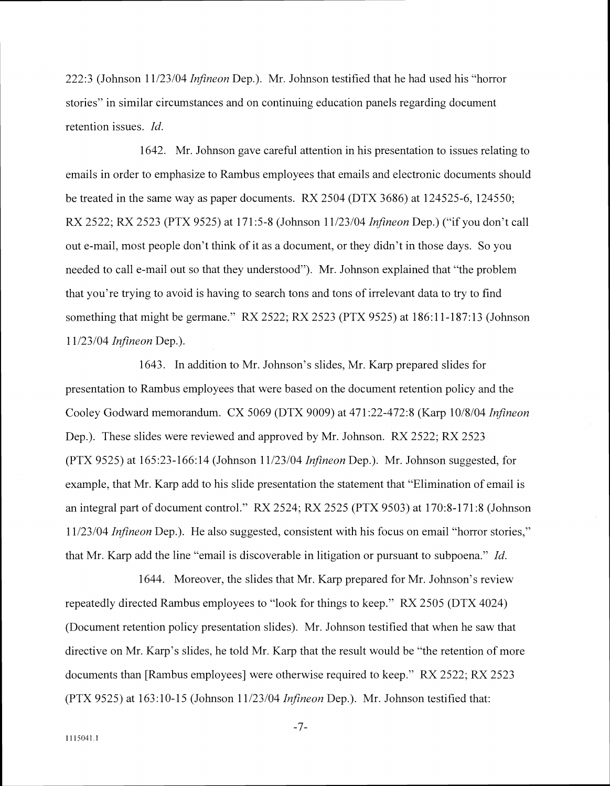222:: (Johnson 11 123104 *Infineon* Dep.). Mr. Johnson testified that he had used his -'horror stories" in similar circumstances and on continuing education panels regarding document retention issues. *Id.* 

1642. Mr. Johnson gave careful attention in his presentation to issues relating to emails in order to emphasize to Rambus employees that emails and electronic documents should be treated in the same way as paper documents. RX 2504 (DTX 3686) at 124525-6. 124550: RX 2522; RX 2523 (PTX 9525) at 171 :5-8 (Jolmson 11/23/04 *Infineon* Dep.) ("if you don't call out e-mail. most people don't think of it as a document, or they didn't in those days. So you needed to call e-mail out so that they understood"). Mr. Johnson explained that "the problem that you're trying to avoid is having to search tons and tons of irrelevant data to try to find something that might be germane." RX 2522; RX 2523 (PTX 9525) at  $186:11-187:13$  (Johnson 11/23/04 *Infineon* Dep.).

1643. In addition to Mr. Johnson's slides, Mr. Karp prepared slides for presentation to Rambus employees that were based on the document retention policy and the Cooley Godward memorandum. CX 5069 (DTX 9009) at 471 :22-472:8 (Karp 10/8104 *Infineon*  Dep.). These slides were reviewed and approved by Mr. Johnson. RX 2522; RX 2523 (PTX 9525) at 165:23-166: 14 (Johnson 1 1/23/04 *Infineon* Dep.). Mr. Johnson suggested, for example, that Mr. Karp add to his slide presentation the statement that "Elimination of email is an integral part of document control." RX 2524; RX 2525 (PTX 9503) at  $170:8-171:8$  (Johnson 11/23/04 *Infineon* Dep.). He also suggested, consistent with his focus on email "horror stories." that Mr. Karp add the line "email is discoverable in litigation or pursuant to subpoena." *Id.* 

1644. Moreover, the slides that Mr. Karp prepared for Mr. Johnson's review repeatedly directed Rambus employees to "look for things to keep." RX 2505 (DTX 4024) (Document retention policy presentation slides). Mr. Johnson testified that when he saw that directive on Mr. Karp's slides, he told Mr. Karp that the result would be "the retention of more documents than [Rambus employees] were otherwise required to keep." RX 2522; RX 2523 (PTX 9525) at 163:10-15 (Johnson 11/23/04 *Infineon* Dep.). Mr. Johnson testified that:

 $-7-$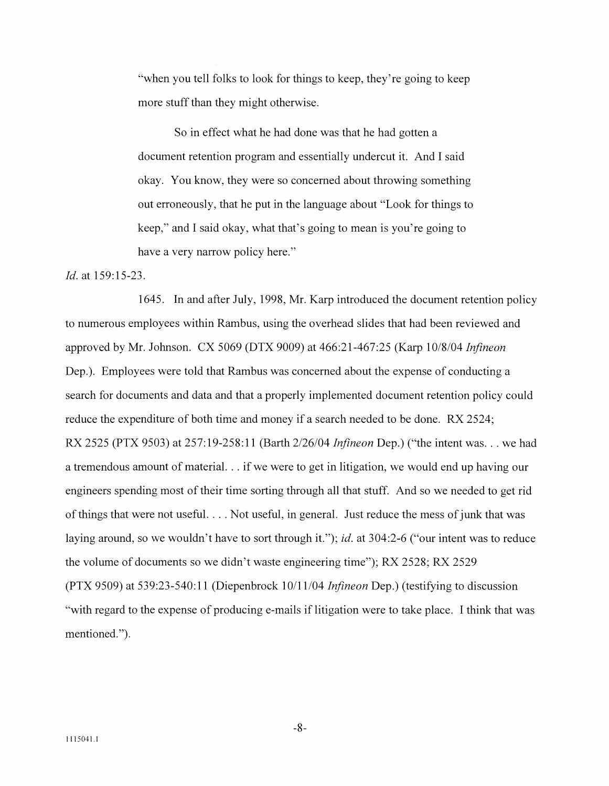"when you tell folks to look for things to keep, they're going to keep more stuff than they might otherwise.

So in effect uhat he had done was that he had gotten a document retention program and essentially undercut it. And I said okay. You know, they were so concerned about throwing something out erroneously, that he put in the language about "Look for things to keep," and I said okay. uhat that's going to mean is you're going to have a very narrow policy here."

#### *Id.* at 159:15-23.

1645. In and after July, 1998, Mr. Karp introduced the document retention policy to numerous employees within Rambus, using the overhead slides that had been reviewed and approved by Mr. Johnson. CX 5069 (DTX 9009) at 46621 -467:25 (Karp 1018/04 *Infineon*  Dep.). Employees were told that Rambus was concerned about the expense of conducting a search for documents and data and that a properly implemented document retention policy could reduce the expenditure of both time and money if a search needed to be done. RX 2524; RX 2525 (PTX 9503) at 257:19-258:11 (Barth 2/26/04 *Infineon* Dep.) ("the intent was... we had a tremendous amount of material. . . if we were to get in litigation, we would end up having our engineers spending most of their time sorting through all that stuff. And so we needed to get rid of things that mere not useful. . . . Not usefill, in general. Just reduce the mess of junk that was laying around, so we wouldn't have to sort through it."); id. at 304:2-6 ("our intent was to reduce the volume of documents so ue didn't waste engineering time"); RX 2528; KX 2529 (PTX 9509) at 53923-540: 1 1 (Diepenbrock 1011 1/04 *Ir7fineon* Dep.) (testifying to discussion "with regard to the expense of producing e-mails if litigation were to take place. I think that was mentioned.").

 $-8-$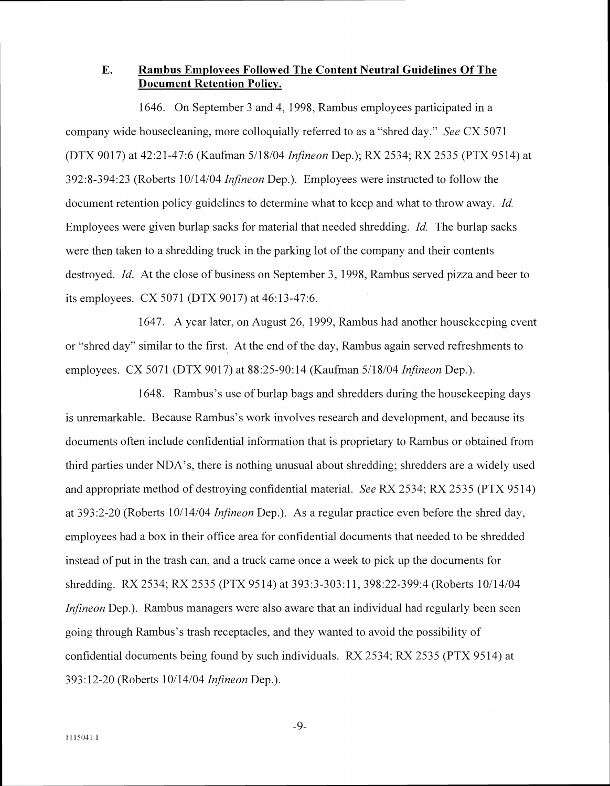# **E. Rambus Employees Followed The Content Neutral Guidelines Of The Document Retention Policy.**

1646. On September 3 and 4, 1998, Rambus employees participated in a company wide housecleaning. more colloquially referred to as a "shred day." *See* CX 5071 (DTX 9017) at 42:21-47:6 (Kaufman 5/18/04 *Infineon Dep.*); RX 2534; RX 2535 (PTX 9514) at 392:s-394:23 (Roberts 10114104 *Infineon* Dep.). Employees were instructed to follow the document retention policy guidelines to determine what to keep and what to throw away. *Id.* Employees were given burlap sacks for material that needed shredding. *Id* The burlap sacks were then taken to a shredding truck in the parking lot of the company and their contents destroyed. *Id.* At the close of business on September 3, 1998, Rambus served pizza and beer to its employees. CX 5071 (DTX 9017) at 46:13-47:6.

1647. A year later, on August 26, 1999, Rambus had another housekeeping event or "shred day" similar to the first. At the end of the day, Rambus again served refreshments to employees. CX 5071 (DTX 9017) at 88:25-90:14 (Kaufman 5/18/04 *Infineon* Dep.).

1648. Rambus's use of burlap bags and shredders during the house keeping days is unremarkable. Because Rambus's work involves research and development, and because its documents often include confidential information that is proprietary to Rambus or obtained from third parties under NDA's, there is nothing unusual about shredding; shredders are a widely used and appropriate method of destroying confidential material. *See* RX 2534; RX 2535 (PTX 9514) at 393:2-30 (Roberts 10114104 *Infineon* Dep.). As a regular practice even before the shred day. employees had a box in their office area for confidential documents that needed to be shredded instead of put in the trash can, and a truck came once a week to pick up the documents for shredding. RX 2534; RX 2535 (PTX 9514) at 393:3-303:11, 398:22-399:4 (Roberts 10/14/04) *Infineon* Dep.). Rambus managers were also aware that an individual had regularly been seen going through Rainbus's trash receptacles. and they uanted to axoid the possibility of confidential documents being found by such individuals. RX 2534; RX 2535 (PTX 9514) at 393: 12-20 (Roberts 10/14/04 *lnfirqeon* Dep.).

 $-9-$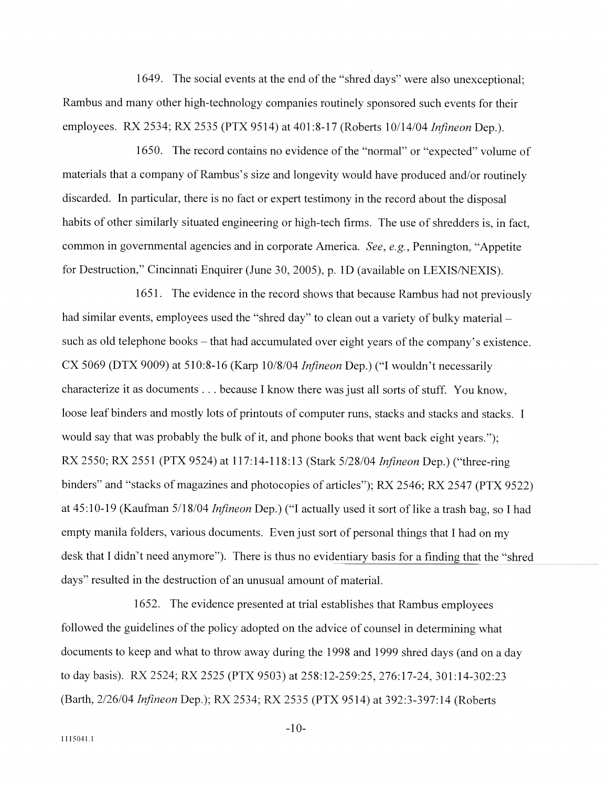1649. The social events at the end of the "shred days" were also unexceptional; Rambus and many other high-technology companies routinely sponsored such events for their employees. RX 2534: RX 2535 (PTX 95 14) at 401 :8-17 (Roberts 10/14/04 *Infineon* Dep.).

1650. The record contains no evidence of the "normal" or "expected" volume of materials that a company of Rambus's size and longevity would have produced and/or routinely discarded. In particular. there is no fact or expert testimony in the record about the disposal habits of other similarly situated engineering or high-tech firms. The use of shredders is, in fact, common in governmental agencies and in corporate America. *See, e.g.*, Pennington, "Appetite" for Destruction," Cincinnati Enquirer (June 30, 2005), p. 1D (available on LEXIS/NEXIS).

1651. The evidence in the record shows that because Rambus had not previously had similar events, employees used the "shred day" to clean out a variety of bulky material  $$ such as old telephone books – that had accumulated over eight years of the company's existence. CX 5069 (DTX 9009) at 5 10:8-16 (Karp 10/8/04 *Infineon* Dep.) ("I wouldn't necessarily characterize it as documents  $\ldots$  because I know there was just all sorts of stuff. You know, loose leaf binders and mostly lots of printouts of computer runs, stacks and stacks and stacks. I would say that was probably the bulk of it, and phone books that went back eight years."); RX 2550; RX 2551 (PTX 9524) at 117:14-118:13 (Stark 5/28/04 *Infineon* Dep.) ("three-ring binders" and "stacks of magazines and photocopies of articles"); RX 2546; RX 2547 (PTX 9522) at 45:10-19 (Kaufman 5/18/04 *Infineon Dep.*) ("I actually used it sort of like a trash bag, so I had empty manila folders, various documents. Even just sort of personal things that I had on my desk that I didn't need anymore"). There is thus no evidentiary basis for a finding that the "shred days" resulted in the destruction of an unusual amount of material.

1652. The evidence presented at trial establishes that Rambus employees followed the guidelines of the policy adopted on the advice of counsel in determining what documents to keep and what to throw away during the 1998 and 1999 shred days (and on a day to day basis). RX 2524; RX 2525 (PTX 9503) at 258:12-259:25, 276:17-24, 301:14-302:23 (Barth, 2/26/04 *Infineon* Dep.): RX 2534: RX 2535 (PTX 9514) at 392:3-397:14 (Roberts

 $-10-$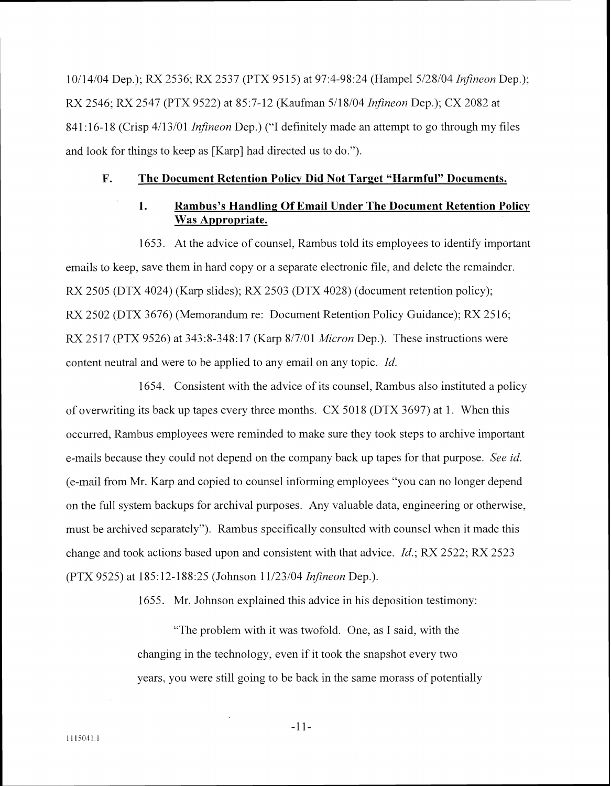1011 4/04 Dep.); RX 2536; RX 2537 (PTX 95 15) at 97:4-98:24 (Hampel 5/28/04 *Infineon* Dep.); RX 2546; RX 2547 (PTX 9522) at 85:7-12 (Kaufinan 5/18/04 *Infineon* Dep.): CX 2082 at 841:16-18 (Crisp 4/13/01 *Infineon Dep.*) ("I definitely made an attempt to go through my files and look for things to keep as [Karp] had directed us to do.").

#### **F. The Document Retention Policv Did Not Target "Harmful" Documents.**

# **1. Rambus's Handling Of Email Under The Document Retention Policy Was Appropriate.**

1653. At the advice of counsel, Rambus told its employees to identify important ernails to keep, save them in hard copy or a separate electronic file, and delete the remainder. RX 2505 (DTX 4024) (Karp slides); RX 2503 (DTX 4028) (document retention policy); RX 2502 (DTX 3676) (Memorandum re: Document Retention Policy Guidance); RX 2516; RX 2517 (PTX 9526) at 343:8-348:17 (Karp 8/7/01 *Micron* Dep.). These instructions were content neutral and were to be applied to any email on any topic. *Id.* 

1654. Consistent with the advice of its counsel. Rambus also instituted a policy of overwriting its back up tapes every three months. CX  $5018$  (DTX 3697) at 1. When this occurred, Rambus employees were reminded to make sure they took steps to archive important e-mails because they could not depend on the company back up tapes for that purpose. *See id.* (e-mail from Mr. Karp and copied to counsel informing employees "you can no longer depend on the full system backups for archival purposes. Any valuable data. engineering or otherwise, must be archived separately"). Rambus specifically consulted with counsel when it made this change and took actions based upon and consistent with that advice. *Id.*; RX 2522; RX 2523 (PTX 9525) at 185: 12-1 88:25 (Jol~nson 1 1/23/04 *Infineon* Dep.).

1655. Mr. Johnson explained this advice in his deposition testimony:

"The problem with it was twofold. One, as I said, with the changing in the technology, even if it took the snapshot every two years, you were still going to be back in the same morass of potentially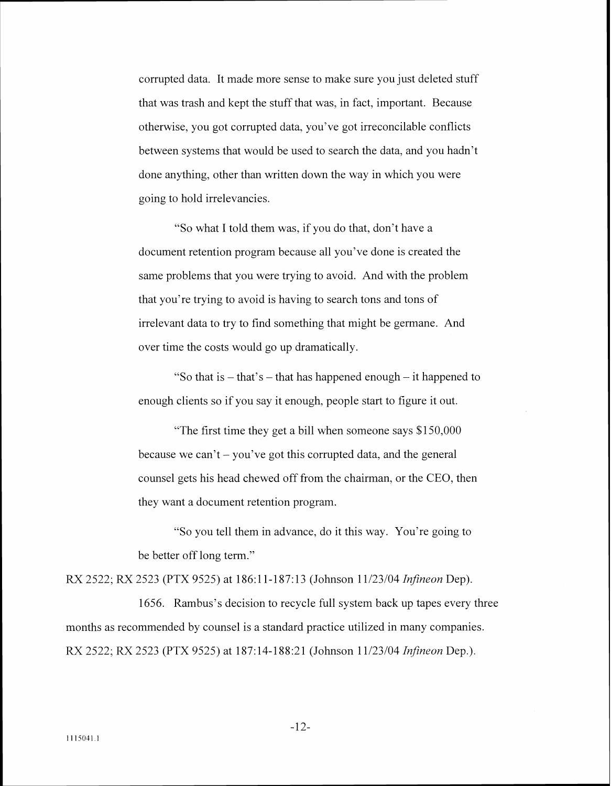corrupted data. It made more sense to make sure you just deleted stuff that was trash and kept the stuff that was, in fact, important. Because otherwise, you got corrupted data, you've got irreconcilable conflicts between systems that would be used to search the data, and you hadn't done anything, other than written down the way in which you were going to hold irrelevancies.

"So what I told them was, if you do that, don't have a document retention program because all you've done is created the same problems that you were trying to avoid. And with the problem that you're trying to avoid is having to search tons and tons of irrelevant data to try to find something that might be germane. And over time the costs would go up dramatically.

"So that is  $-$  that's  $-$  that has happened enough  $-$  it happened to enough clients so if you say it enough, people start to figure it out.

"The first time they get a bill when someone says \$150,000 because we can't – you've got this corrupted data, and the general counsel gets his head chewed off from the chairman. or the CEO. then they want a document retention program.

"So you tell them in advance, do it this may. You're going to be better off long term."

RX 2522: RX 2523 (PTX 9525) at 186: 11-1 87: 13 (Johnson 1 1/23/04 *InJineon* Dep).

1656. Rambus's decision to recycle full system back up tapes every three months as recommended by counsel is a standard practice utilized in many companies. RX 2522; RX 2523 (PTX 9525) at 187:14-188:21 (Johnson 11/23/04 *Infineon* Dep.).

 $-12-$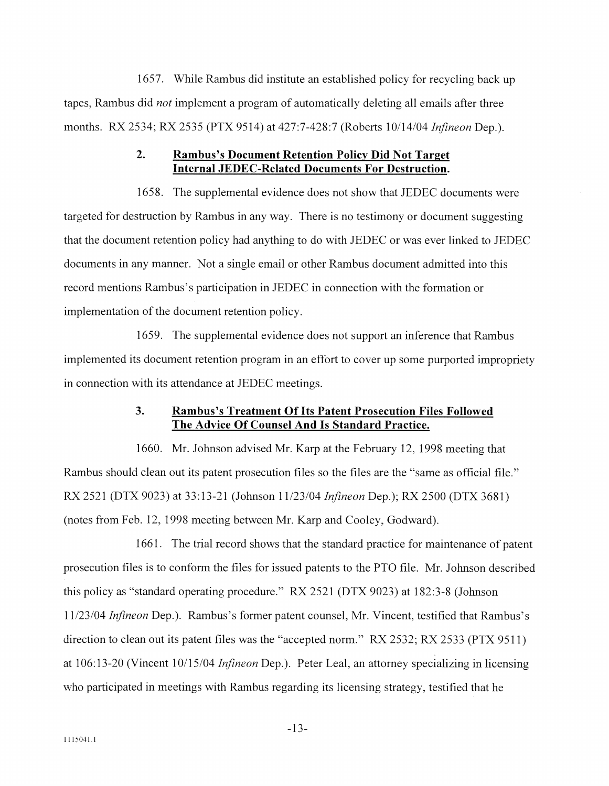1657. While Rambus did institute an established policy for recycling back up tapes, Rambus did *not* implement a program of automatically deleting all emails after three months. RX 2534; RX 2535 (PTX 9514) at 427:7-428:7 (Roberts 10/14/04 *Infineon* Dep.).

### **2. Rambus's Document Retention Policy Did Not Target Internal JEDEC-Related Documents For Destruction.**

1658. The supplemental evidence does not show that JEDEC documents were targeted for destruction by Rambus in any way. There is no testimony or document suggesting that the document retention policy had anything to do with JEDEC or was ever linked to JEDEC documents in any manner. Not a single email or other Rambus document admitted into this record mentions Rambus's participation in JEDEC in connection with the formation or implementation of the document retention policy.

1659. The supplemental evidence does not support an inference that Rambus implemented its document retention program in an effort to cover up some purported impropriety in connection with its attendance at JEDEC meetings.

### **3. Rambus's Treatment Of Its Patent Prosecution Files Followed The Advice Of Counsel And Is Standard Practice.**

1660. Mr. Johnson advised Mr. Karp at the February 12, 1998 meeting that Rambus should clean out its patent prosecution files so the files are the "same as official file." RX 2521 (DTX 9023) at 33: 13-21 (Johnson 11/23/04 *Infineon* Dep.); RX 2500 (DTX 368 1) (notes from Feb. 12. 1998 meeting between Mr. Karp and Cooley. Godward).

1661. The trial record shows that the standard practice for maintenance of patent prosecution files is to conform the files for issued patents to the PTO file. Mr. Johnson described this policy as "standard operating procedure."  $RX 2521 (DTX 9023)$  at 182:3-8 (Johnson 11/23/04 *Infineon* Dep.). Rambus's former patent counsel, Mr. Vincent, testified that Rambus's direction to clean out its patent files was the "accepted norm." RX 2532; RX 2533 (PTX 9511) at 106:13-20 (Vincent 10/15/04 *Infineon* Dep.). Peter Leal, an attorney specializing in licensing who participated in meetings with Rambus regarding its licensing strategy, testified that he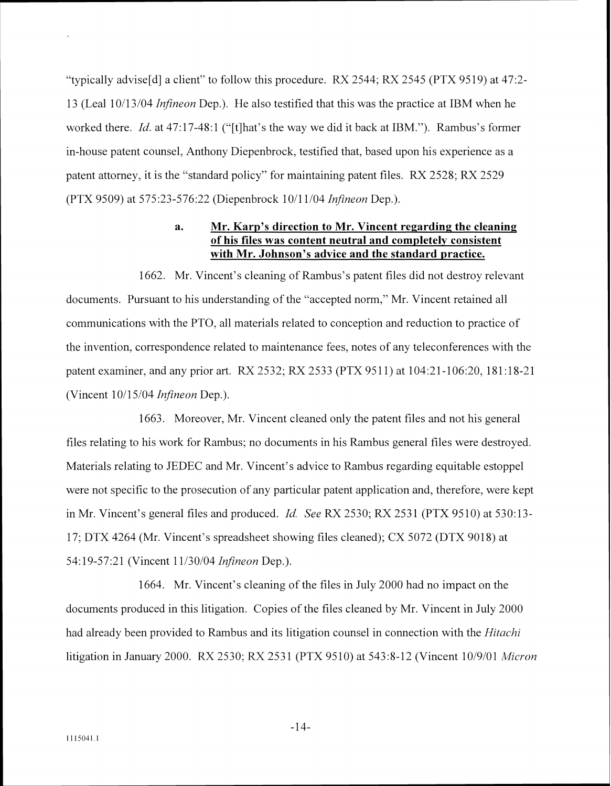"typically advise<sup>[d]</sup> a client" to follow this procedure. RX 2544; RX 2545 (PTX 9519) at 47:2-13 (Leal 10/13/04 *Infineon* Dep.). He also testified that this was the practice at IBM when he worked there. *Id.* at 47:17-48: 1 ("[tlhat's the way we did it back at IBM."). Rambus's former in-house patent counsel, Anthony Diepenbrock, testified that, based upon his experience as a patent attorney, it is the "standard policy" for maintaining patent files. RX 2528; RX 2529 (PTX 9509) at 57523-57622 (Diepenbrock 1011 1/04 *Infineon* Dep.).

# **a. Mr. Karp's direction to Mr. Vincent regarding the cleaning of his files was content neutral and completelv consistent with Mr. Johnson's advice and the standard practice.**

1662. Mr. Vincent's cleaning of Rambus's patent files did not destroy relevant documents. Pursuant to his understanding of the "accepted norm," Mr. Vincent retained all communications with the PTO, all materials related to conception and reduction to practice of the invention, correspondence related to maintenance fees, notes of any teleconferences with the patent examiner, and any prior art. RX 2532; RX 2533 (PTX 9511) at 104:21-106:20, 181:18-21 (Vincent 10/15/04 *Infineon* Dep.).

1663. Moreover. Mr. Vincent cleaned only the patent files and not his general files relating to his work for Rambus; no documents in his Rambus general files were destroyed. Materials relating to JEDEC and Mr. Vincent's advice to Rambus regarding equitable estoppel were not specific to the prosecution of any particular patent application and, therefore. were kept in Mr. Vincent's general files and produced. *Id. See RX 2530*; RX 2531 (PTX 9510) at 530:13-17: DTX 4264 (Mr. Vincent's spreadsheet showing files cleaned); CX 5072 (DTX 9018) at 54:19-57:21 (Vincent 11/30/04 *Infineon Dep.)*.

1664. Mr. Vincent's cleaning of the files in July 2000 had no impact on the documents produced in this litigation. Copies of the files cleaned by Mr. Vincent in July 2000 had already been provided to Rambus and its litigation counsel in connection with the *Hitachi* litigation in January 2000. RX 2530; RX 2531 (PTX 9510) at 543:8-12 (Vincent 10/9/01 *Micron* 

 $-14-$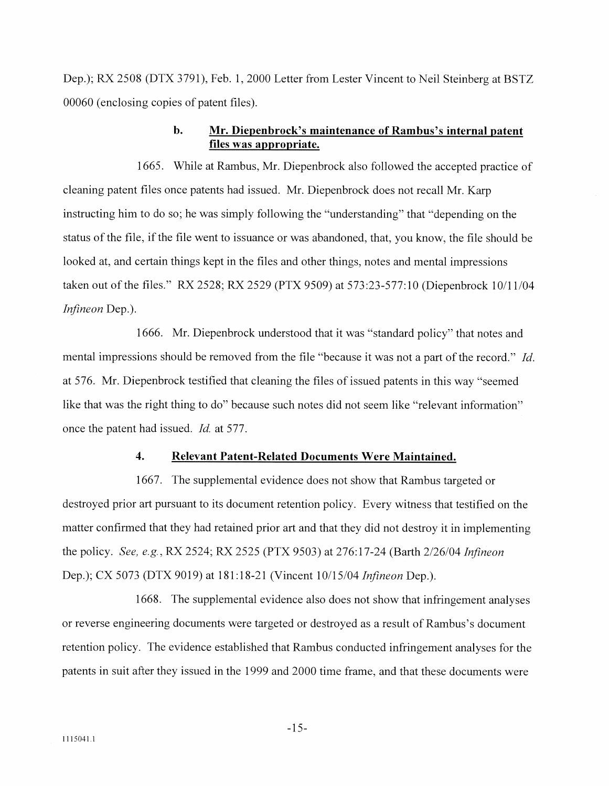Dep.); RX 2508 (DTX 3791). Feb. 1. 2000 Letter from Lester Vincent to Neil Steinberg at BSTZ 00060 (enclosing copies of patent files).

### **b. Mr. Diepenbrock's maintenance of Rambus's internal patent files was appropriate.**

1665. While at Rambus. Mr. Diepenbrock also followed the accepted practice of cleaning patent files once patents had issued. Mr. Diepenbrock does not recall Mr. Karp instructing him to do so; he uas simply following the "understanding" that "depending on the status of the file, if the file went to issuance or was abandoned. that, you know. the file should be looked at, and certain things kept in the files and other things, notes and mental impressions taken out of the files." RX 2528; RX 2529 (PTX 9509) at 573:23-577:10 (Diepenbrock 10/11/04 *Ififineon* Dep.).

1666. Mr. Diepenbrock understood that it was "standard policy" that notes and rnental impressions should be removed from the file "because it was not a part of the record." *Id.* at 576. Mr. Diepenbrock testified that cleaning the files of issued patents in this way "seemed like that was the right thing to do" because such notes did not seem like "relevant information" once the patent had issued. *Id.* at 577.

#### **4. Relevant Patent-Related Documents Were Maintained.**

1667. The supplemental evidence does not show that Rambus targeted or destroyed prior art pursuant to its document retention policy. Every witness that testified on the matter confirmed that they had retained prior art and that they did not destroy it in implementing the policq.. *See, e g* . RX 2524; RX 2525 (PTX 9503) at 276: 17-24 (Barth 2/26/03, *Ififineon*  Dep.); CX 5073 (DTX 9019) at 181:18-21 (Vincent 10/15/04 *Infineon* Dep.).

1668. The supplemental evidence also does not show that infringement analyses or reverse engineering documents were targeted or destroyed as a result of Rambus's document retention policy. The evidence established that Rambus conducted infringement analyses for the patents in suit after they issued in the 1999 and 2000 time frame, and that these documents were

 $-15-$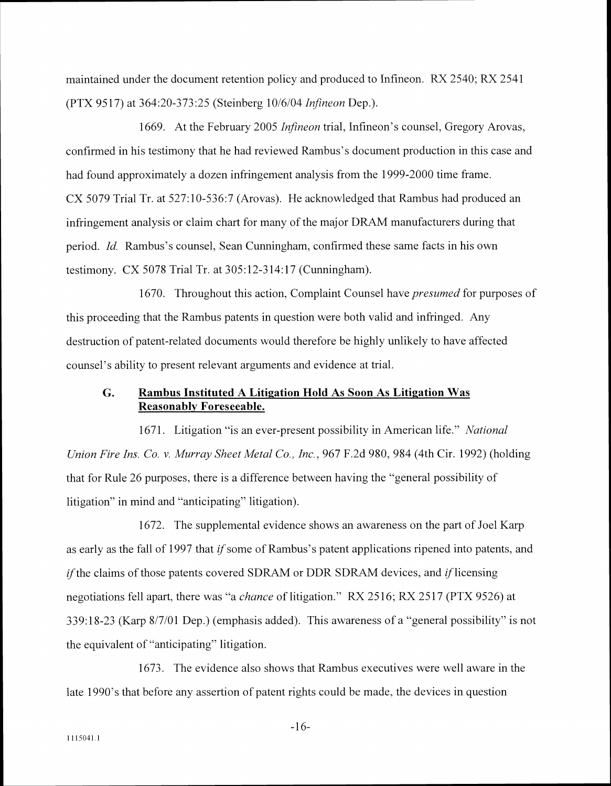maintained under the document retention policy and produced to Infineon. RX 2540; RX 2541 (PTX 95 17) at 364:20-37325 (Steinberg 10:6/04 *Infineon* Dep.).

1669. At the February 2005 *Infineon* trial, Infineon's counsel, Gregory Arovas, confirmed in his testimony that he had reviewed Rambus's document production in this case and had found approximately a dozen infringement analysis from the 1999-2000 time frame. CX 5079 Trial Tr. at 527:10-536:7 (Arovas). He acknowledged that Rambus had produced an infringement analysis or claim chart for many of the major DRAM manufacturers during that period. *Id.* Rambus's counsel. Sean Cunningham, confirmed these same facts in his own testimony. CX 5078 Trial Tr. at  $305:12-314:17$  (Cunningham).

1670. Throughout this action, Complaint Counsel have *presumed* for purposes of this proceeding that the Rambus patents in question were both valid and infringed. Any destruction of patent-related documents would therefore be highly unlikely to have affected counsel's ability to present relevant arguments and evidence at trial.

### **G. Rambus Instituted A Litigation Hold As Soon As Litigation Was Reasonablv Foreseeable.**

1671. Litigation "is an ever-present possibility in American life." *National Union Fire Ins. Co. v. Murray Sheet Metal Co., Inc., 967 F.2d 980, 984 (4th Cir. 1992) (holding* that for Rule 26 purposes, there is a difference between having the "general possibility of litigation" in mind and "anticipating" litigation).

1672. The supplemental evidence shows an awareness on the part of Joel Karp as early as the fall of 1997 that *if* some of Rambus's patent applications ripened into patents, and if the claims of those patents covered SDRAM or DDR SDRAM devices, and *if* licensing negotiations fell apart, there was "a *chance* of litigation." RX 2516; RX 2517 (PTX 9526) at 339:18-23 (Karp 8/7/01 Dep.) (emphasis added). This awareness of a "general possibility" is not the equivalent of "anticipating" litigation.

1673. The evidence also shows that Rambus executives were well amare in the late 1990's that before any assertion of patent rights could be made, the devices in question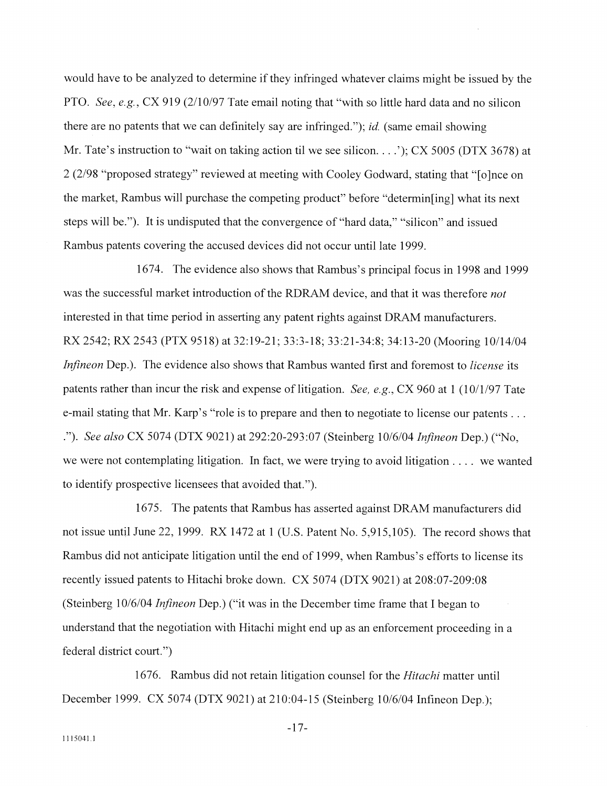would have to be analyzed to determine if they infringed whatever claims might be issued by the PTO. *See, e.g., CX 919 (2/10/97 Tate email noting that "with so little hard data and no silicon* there are no patents that we can definitely say are infringed."); *id.* (same email showing Mr. Tate's instruction to "wait on taking action til we see silicon. . . .'); CX 5005 (DTX 3678) at 2 (2198 "proposed strategy" reviemed at meeting with Cooley Godward, stating that "[olnce on the market, Rambus mill purchase the competing product" before "determin[ing] uhat its next steps mill be."). It is undisputed that the convergence of "hard data," "silicon" and issued Rambus patents covering the accused devices did not occur until late 1999.

1674. The evidence also shows that Rambus's principal focus in 1998 and 1999 was the successful market introduction of the RDRAM device, and that it was therefore *not* interested in that time period in asserting any patent rights against DRAM manufacturers. RX 2542; RX 2543 (PTX 9518) at 32:19-21; 33:3-18; 3321 -34:8: 34:13-20 (Mooring 10114104 *Infineon Dep.).* The evidence also shows that Rambus wanted first and foremost to *license* its patents rather than incur the risk and expense of litigation. *See, e.g.*, CX 960 at 1 (10/1/97 Tate e-mail stating that Mr. Karp's "role is to prepare and then to negotiate to license our patents . . . ."). *See also* CX 5074 (DTX 9021) at 292:20-293:07 (Steinberg 10/6/04 *Infineon* Dep.) ("No. we were not contemplating litigation. In fact, we were trying to avoid litigation . . . . we wanted to identify prospective licensees that avoided that.").

1675. The patents that Rambus has asserted against DRAM manufacturers did not issue until June 22, 1999. RX 1472 at 1 (U.S. Patent No. 5,915,105). The record shows that Rambus did not anticipate litigation until the end of 1999, when Rambus's efforts to license its recently issued patents to Hitachi broke down. CX 5074 (DTX 9021) at 208:07-209:08 (Steinberg 10/6/04 *Infineon* Dep.) ("it was in the December time frame that I began to understand that the negotiation with Hitachi might end up as an enforcement proceeding in a federal district court.")

1676. Rambus did not retain litigation counsel for the *Hitachi* matter until December 1999. CX 5074 (DTX 9021) at 210:04-15 (Steinberg 10/6/04 Infineon Dep.);

 $-17-$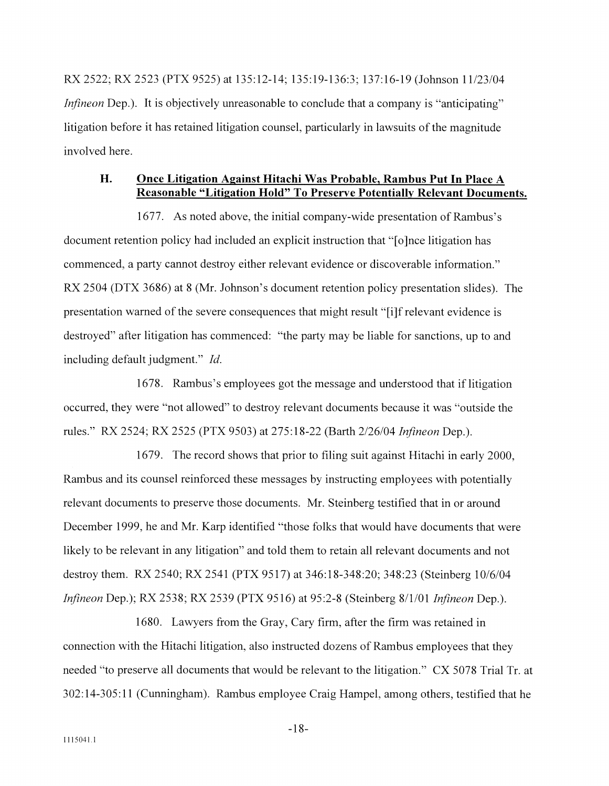RX 2522; RX 2523 (PTX 9525) at 135:12-14; 135:19-136:3; 137:16-19 (Johnson 11/23/04 *Infineon Dep.*). It is objectively unreasonable to conclude that a company is "anticipating" litigation before it has retained litigation counsel, particularly in lawsuits of the magnitude involved here.

### **H. Once Litigation Against Hitachi Was Probable, Rambus Put In Place A Reasonable "Litigation Hold" To Preserve Potentially Relevant Documents.**

1677. As noted above, the initial company-wide presentation of Rambus's document retention policy had included an explicit instruction that "[o]nce litigation has commenced, a party cannot destroy either relevant evidence or discoverable information." RX 2504 (DTX 3686) at 8 (Mr. Johnson's document retention policy presentation slides). The presentation warned of the severe consequences that might result "[iJf relevant evidence is destroyed" after litigation has commenced: "the party may be liable for sanctions, up to and including default judgment." *Id.* 

1678. Rambus's employees got the message and understood that if litigation occurred, they were "not allowed" to destroy relevant documents because it was "outside the rules." RX 2524: RX 2525 (PTX 9503) at 275: 18-22 (Rarth 2/26/04 *In\$neon* Dep.).

1679. The record shows that prior to filing suit against Hitachi in early 2000. Rambus and its counsel reinforced these messages by instructing employees with potentially relevant documents to preserve those documents. Mr. Steinberg testified that in or around December 1999, he and Mr. Karp identified "those folks that would have documents that were likely to be relevant in any litigation" and told them to retain all relevant documents and not destroy them. RX 2540; RX 2541 (PTX 9517) at 346:18-348:20; 348:23 (Steinberg 10/6/04 *Infineon Dep.*); RX 2538; RX 2539 (PTX 9516) at 95:2-8 (Steinberg 8/1/01 *Infineon Dep.*).

1680. Lawyers from the Gray, Cary firm, after the firm was retained in connection with the Hitachi litigation, also instructed dozens of Rambus employees that they needed "to preserve all documents that would be relevant to the litigation." CX 5078 Trial Tr. at 302:14-305:11 (Cunningham). Rambus employee Craig Hampel, among others, testified that he

 $-18-$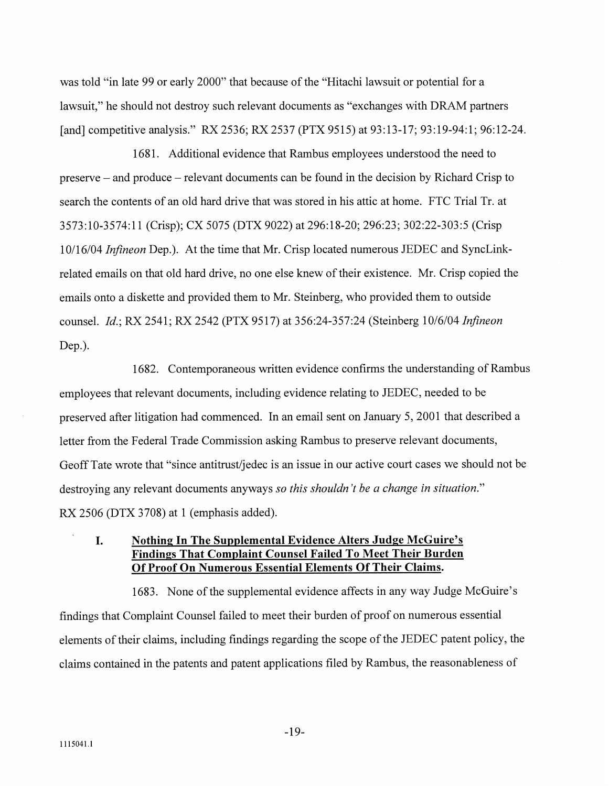was told "in late 99 or early 2000" that because of the "Hitachi lawsuit or potential for a lawsuit," he should not destroy such relevant documents as "exchanges with DRAM partners [and] competitive analysis." RX 2536; RX 2537 (PTX 9515) at 93:13-17; 93:19-94:1; 96:12-24.

1681. Additional evidence that Rambus employees understood the need to preserve - and produce - relevant documents can be found in the decision by Richard Crisp to search the contents of an old hard drive that was stored in his attic at home. FTC Trial Tr. at 3573:lO-3574:ll (Crisp); CX 5075 (DTX 9022) at 296:18-20; 296:23; 302:22-303:5 (Crisp 10/16/04 *Infineon* Dep.). At the time that Mr. Crisp located numerous JEDEC and SyncLinkrelated emails on that old hard drive, no one else knew of their existence. Mr. Crisp copied the emails onto a diskette and provided them to Mr. Steinberg, who provided them to outside counsel. *Id.*; RX 2541; RX 2542 (PTX 9517) at 356:24-357:24 (Steinberg 10/6/04 *Infineon* Dep.).

1682. Contemporaneous written evidence confirms the understanding of Rambus employees that relevant documents, including evidence relating to JEDEC, needed to be preserved after litigation had commenced. In an email sent on January 5, 2001 that described a letter from the Federal Trade Commission asking Rambus to preserve relevant documents, Geoff Tate wrote that "since antitrust/jedec is an issue in our active court cases we should not be destroying any relevant documents anyways so this *shouldn 't be a change in situation."*  RX 2506 (DTX 3708) at 1 (emphasis added).

# **I. Nothing In The Supplemental Evidence Alters Judge McGuire's Findings That Complaint Counsel Failed To Meet Their Burden Of Proof On Numerous Essential Elements Of Their Claims.**

1683. None of the supplemental evidence affects in any way Judge McGuire's findings that Complaint Counsel failed to meet their burden of proof on numerous essential elements of their claims, including findings regarding the scope of the JEDEC patent policy, the claims contained in the patents and patent applications filed by Rambus, the reasonableness of

 $-19-$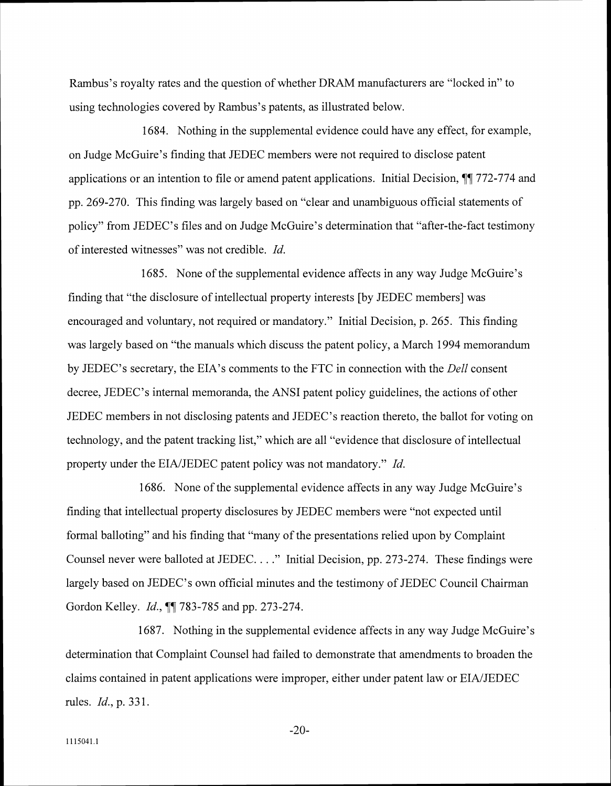Rambus's royalty rates and the question of whether DRAM manufacturers are "locked in" to using technologies covered by Rambus's patents, as illustrated below.

1684. Nothing in the supplemental evidence could have any effect, for example, on Judge McGuire's finding that JEDEC members were not required to disclose patent applications or an intention to file or amend patent applications. Initial Decision, **11** 772-774 and gp. 269-270. This finding was largely based on "clear and unambiguous official statements of policy" from JEDEC's files and on Judge McGuire's determination that "after-the-fact testimony of interested witnesses" was not credible. *Id.* 

1685. None of the supplemental evidence affects in any way Judge McGuire's finding that "the disclosure of intellectual property interests [by JEDEC members] was encouraged and voluntary. not required or mandatory." Initial Decision, p. 265. This finding was largely based on "the manuals which discuss the patent policy, a March 1994 memorandum by JEDEC's secretary, the EIA's comments to the FTC in connection with the *Dell* consent decree, JEDEC's internal memoranda, the ANSI patent policy guidelines, the actions of other JEDEC members in not disclosing patents and JEDEC's reaction thereto, the ballot for voting on technology, and the patent tracking list," which are all "evidence that disclosure of intellectual property under the EINJEDEC patent policy was not mandatory." Id.

1686. None of the supplemental evidence affects in any way Judge McGuire's finding that intellectual property disclosures by JEDEC members were "not expected until formal balloting" and his finding that "many of the presentations relied upon by Complaint Counsel never were balloted at JEDEC. . . ." Initial Decision, pp. 273-274. These findings were largely based on JEDEC's own official minutes and the testimony of JEDEC Council Chairman Gordon Kelley. *Id.*, **11** 783-785 and pp. 273-274.

1687. Nothing in the supplemental evidence affects in any way Judge McGuire's determination that Complaint Counsel had failed to demonstrate that amendments to broaden the claims contained in patent applications were improper, either under patent law or EIA/JEDEC rules. Id., p. 331.

 $-20-$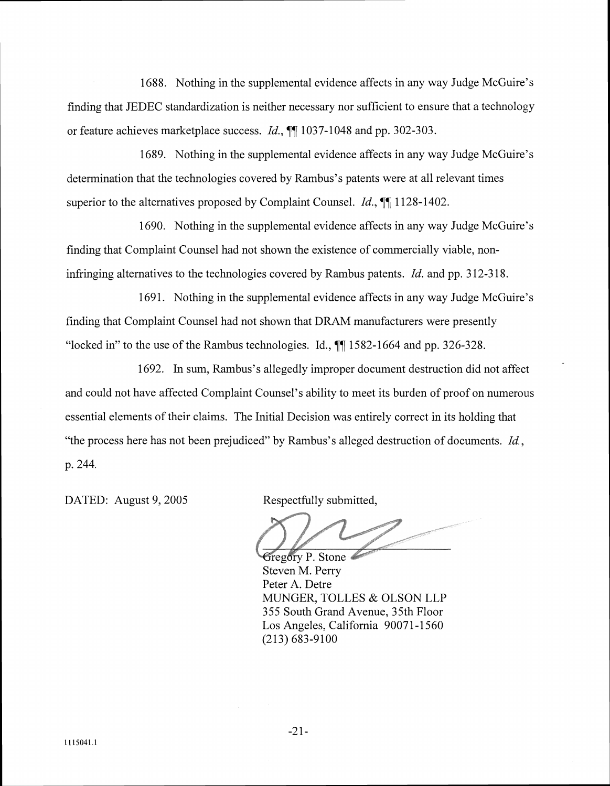1688. Nothing in the supplemental evidence affects in any way Judge McGuire's finding that JEDEC standardization is neither necessary nor sufficient to ensure that a technology or feature achieves marketplace success. *Id.*, **11** 1037-1048 and pp. 302-303.

1689. Nothing in the supplemental evidence affects in any way Judge McGuire's determination that the technologies covered by Rambus's patents were at all relevant times superior to the alternatives proposed by Complaint Counsel. *Id., 77* 1128-1402.

1690. Nothing in the supplemental evidence affects in any way Judge McGuire's finding that Complaint Counsel had not shown the existence of commercially viable, noninfringing alternatives to the technologies covered by Rambus patents. *Id.* and pp. 312-318.

1691. Nothing in the supplemental evidence affects in any way Judge McGuire's finding that Complaint Counsel had not shown that DRAM manufacturers were presently "locked in" to the use of the Rambus technologies. Id., *77* 1582-1664 and pp. 326-328.

1692. In sum, Rambus's allegedly improper document destruction did not affect and could not have affected Complaint Counsel's ability to meet its burden of proof on numerous essential elements of their claims. The Initial Decision was entirely correct in its holding that "the process here has not been prejudiced" by Rambus's alleged destruction of documents.  $Id$ , p. 244.

DATED: August 9, 2005 Respectfully submitted,

**Gregory P. Stone** Steven M. Perry Peter A. Detre MUNGER, TOLLES & OLSON LLP 355 South Grand Avenue, 35th Floor Los Angeles, California 90071-1560 (213) 683-9100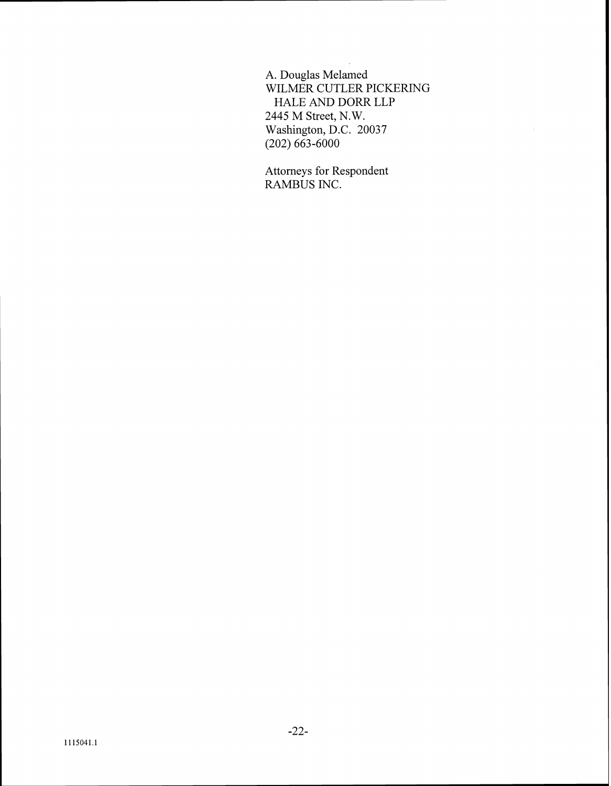A. Douglas Melamed WILMER CUTLER PICKERING HALE AND DORR LLP 2445 M Street, N. W. Washington, D.C. 20037 (202) 663-6000

Attorneys for Respondent RAMBUS INC.